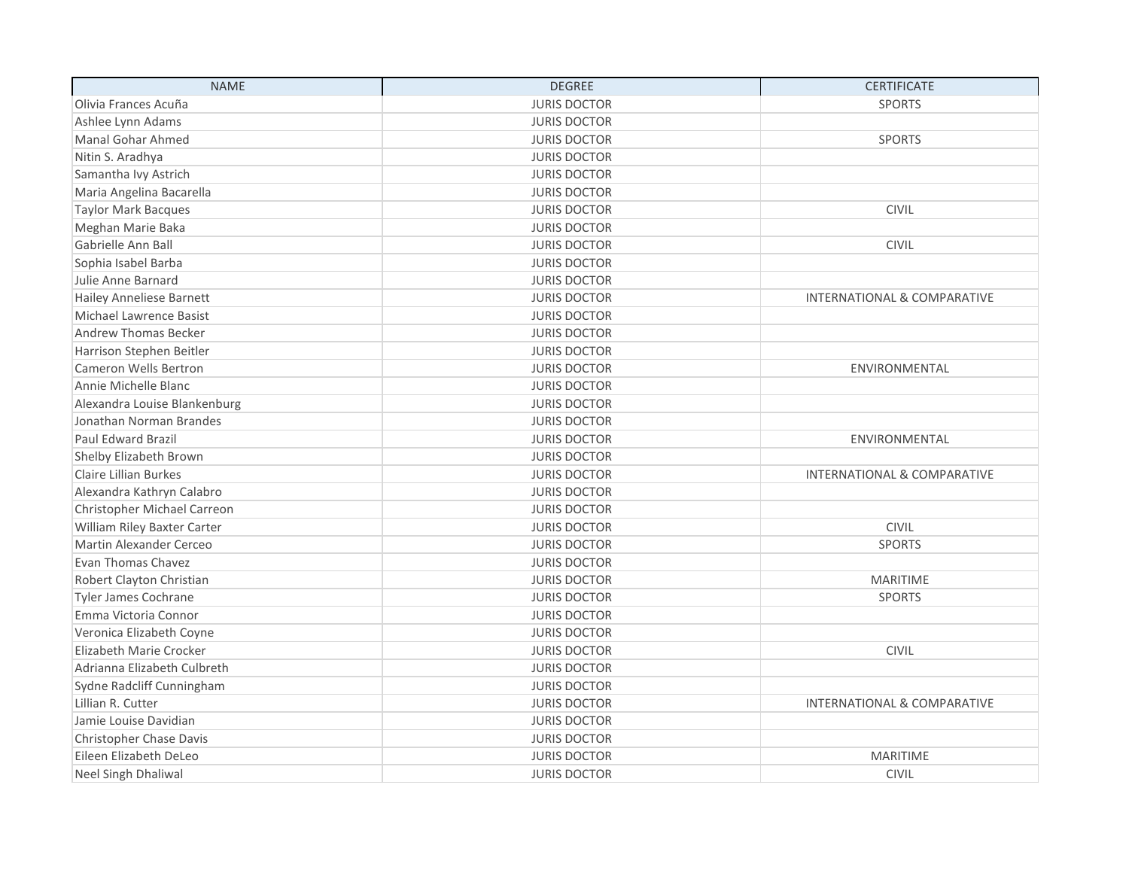| <b>NAME</b>                    | <b>DEGREE</b>       | <b>CERTIFICATE</b>                     |
|--------------------------------|---------------------|----------------------------------------|
| Olivia Frances Acuña           | <b>JURIS DOCTOR</b> | <b>SPORTS</b>                          |
| Ashlee Lynn Adams              | <b>JURIS DOCTOR</b> |                                        |
| Manal Gohar Ahmed              | <b>JURIS DOCTOR</b> | <b>SPORTS</b>                          |
| Nitin S. Aradhya               | <b>JURIS DOCTOR</b> |                                        |
| Samantha Ivy Astrich           | <b>JURIS DOCTOR</b> |                                        |
| Maria Angelina Bacarella       | <b>JURIS DOCTOR</b> |                                        |
| <b>Taylor Mark Bacques</b>     | <b>JURIS DOCTOR</b> | <b>CIVIL</b>                           |
| Meghan Marie Baka              | <b>JURIS DOCTOR</b> |                                        |
| Gabrielle Ann Ball             | <b>JURIS DOCTOR</b> | <b>CIVIL</b>                           |
| Sophia Isabel Barba            | <b>JURIS DOCTOR</b> |                                        |
| Julie Anne Barnard             | <b>JURIS DOCTOR</b> |                                        |
| Hailey Anneliese Barnett       | <b>JURIS DOCTOR</b> | INTERNATIONAL & COMPARATIVE            |
| Michael Lawrence Basist        | <b>JURIS DOCTOR</b> |                                        |
| <b>Andrew Thomas Becker</b>    | <b>JURIS DOCTOR</b> |                                        |
| Harrison Stephen Beitler       | <b>JURIS DOCTOR</b> |                                        |
| Cameron Wells Bertron          | <b>JURIS DOCTOR</b> | ENVIRONMENTAL                          |
| Annie Michelle Blanc           | <b>JURIS DOCTOR</b> |                                        |
| Alexandra Louise Blankenburg   | <b>JURIS DOCTOR</b> |                                        |
| Jonathan Norman Brandes        | <b>JURIS DOCTOR</b> |                                        |
| Paul Edward Brazil             | <b>JURIS DOCTOR</b> | ENVIRONMENTAL                          |
| Shelby Elizabeth Brown         | <b>JURIS DOCTOR</b> |                                        |
| <b>Claire Lillian Burkes</b>   | <b>JURIS DOCTOR</b> | INTERNATIONAL & COMPARATIVE            |
| Alexandra Kathryn Calabro      | <b>JURIS DOCTOR</b> |                                        |
| Christopher Michael Carreon    | <b>JURIS DOCTOR</b> |                                        |
| William Riley Baxter Carter    | <b>JURIS DOCTOR</b> | <b>CIVIL</b>                           |
| Martin Alexander Cerceo        | <b>JURIS DOCTOR</b> | <b>SPORTS</b>                          |
| <b>Evan Thomas Chavez</b>      | <b>JURIS DOCTOR</b> |                                        |
| Robert Clayton Christian       | <b>JURIS DOCTOR</b> | MARITIME                               |
| Tyler James Cochrane           | <b>JURIS DOCTOR</b> | <b>SPORTS</b>                          |
| Emma Victoria Connor           | <b>JURIS DOCTOR</b> |                                        |
| Veronica Elizabeth Coyne       | <b>JURIS DOCTOR</b> |                                        |
| Elizabeth Marie Crocker        | <b>JURIS DOCTOR</b> | <b>CIVIL</b>                           |
| Adrianna Elizabeth Culbreth    | <b>JURIS DOCTOR</b> |                                        |
| Sydne Radcliff Cunningham      | <b>JURIS DOCTOR</b> |                                        |
| Lillian R. Cutter              | <b>JURIS DOCTOR</b> | <b>INTERNATIONAL &amp; COMPARATIVE</b> |
| Jamie Louise Davidian          | <b>JURIS DOCTOR</b> |                                        |
| <b>Christopher Chase Davis</b> | <b>JURIS DOCTOR</b> |                                        |
| Eileen Elizabeth DeLeo         | <b>JURIS DOCTOR</b> | <b>MARITIME</b>                        |
| Neel Singh Dhaliwal            | <b>JURIS DOCTOR</b> | <b>CIVIL</b>                           |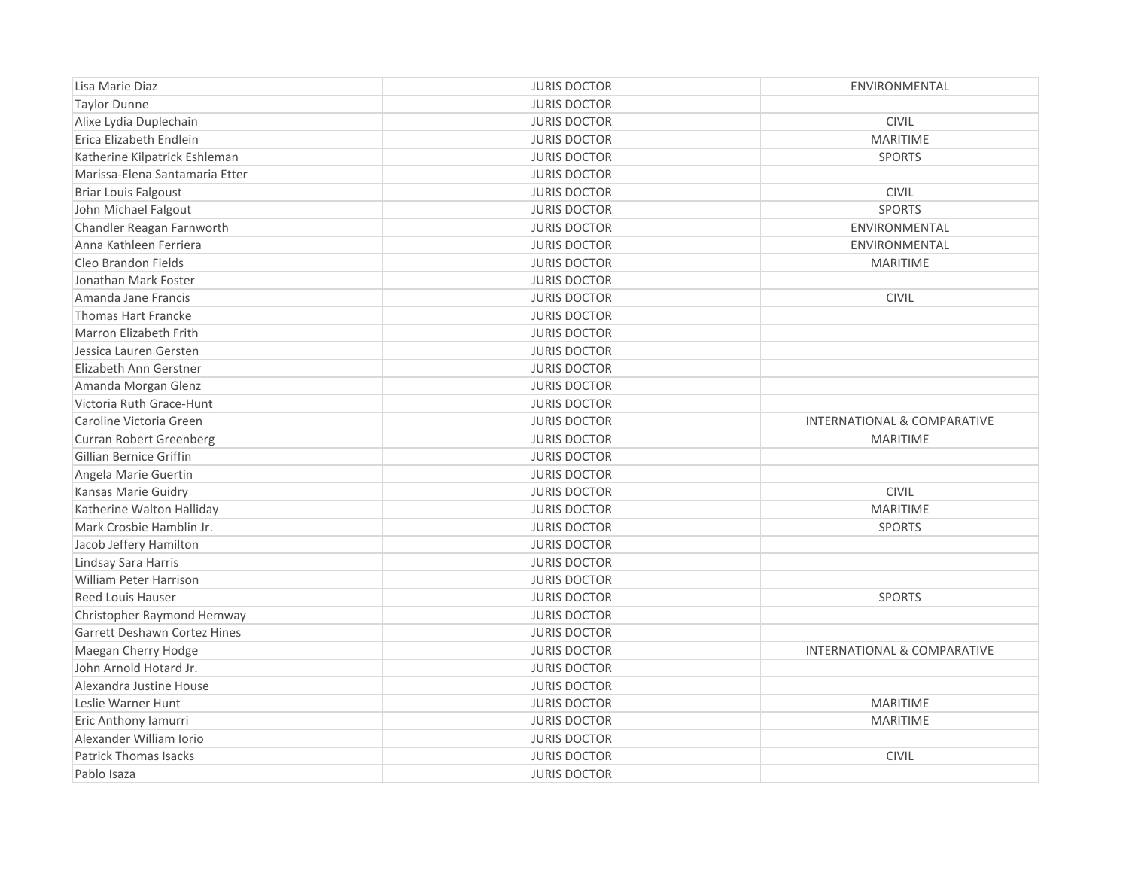| Lisa Marie Diaz                | <b>JURIS DOCTOR</b> | ENVIRONMENTAL               |
|--------------------------------|---------------------|-----------------------------|
| <b>Taylor Dunne</b>            | <b>JURIS DOCTOR</b> |                             |
| Alixe Lydia Duplechain         | <b>JURIS DOCTOR</b> | <b>CIVIL</b>                |
| Erica Elizabeth Endlein        | <b>JURIS DOCTOR</b> | <b>MARITIME</b>             |
| Katherine Kilpatrick Eshleman  | <b>JURIS DOCTOR</b> | <b>SPORTS</b>               |
| Marissa-Elena Santamaria Etter | <b>JURIS DOCTOR</b> |                             |
| <b>Briar Louis Falgoust</b>    | <b>JURIS DOCTOR</b> | <b>CIVIL</b>                |
| John Michael Falgout           | <b>JURIS DOCTOR</b> | <b>SPORTS</b>               |
| Chandler Reagan Farnworth      | <b>JURIS DOCTOR</b> | ENVIRONMENTAL               |
| Anna Kathleen Ferriera         | <b>JURIS DOCTOR</b> | ENVIRONMENTAL               |
| Cleo Brandon Fields            | <b>JURIS DOCTOR</b> | <b>MARITIME</b>             |
| Jonathan Mark Foster           | <b>JURIS DOCTOR</b> |                             |
| Amanda Jane Francis            | <b>JURIS DOCTOR</b> | <b>CIVIL</b>                |
| <b>Thomas Hart Francke</b>     | <b>JURIS DOCTOR</b> |                             |
| Marron Elizabeth Frith         | <b>JURIS DOCTOR</b> |                             |
| Jessica Lauren Gersten         | <b>JURIS DOCTOR</b> |                             |
| Elizabeth Ann Gerstner         | <b>JURIS DOCTOR</b> |                             |
| Amanda Morgan Glenz            | <b>JURIS DOCTOR</b> |                             |
| Victoria Ruth Grace-Hunt       | <b>JURIS DOCTOR</b> |                             |
| Caroline Victoria Green        | <b>JURIS DOCTOR</b> | INTERNATIONAL & COMPARATIVE |
| <b>Curran Robert Greenberg</b> | <b>JURIS DOCTOR</b> | <b>MARITIME</b>             |
| <b>Gillian Bernice Griffin</b> | <b>JURIS DOCTOR</b> |                             |
| Angela Marie Guertin           | <b>JURIS DOCTOR</b> |                             |
| Kansas Marie Guidry            | <b>JURIS DOCTOR</b> | <b>CIVIL</b>                |
| Katherine Walton Halliday      | <b>JURIS DOCTOR</b> | <b>MARITIME</b>             |
| Mark Crosbie Hamblin Jr.       | <b>JURIS DOCTOR</b> | <b>SPORTS</b>               |
| Jacob Jeffery Hamilton         | <b>JURIS DOCTOR</b> |                             |
| Lindsay Sara Harris            | <b>JURIS DOCTOR</b> |                             |
| <b>William Peter Harrison</b>  | <b>JURIS DOCTOR</b> |                             |
| Reed Louis Hauser              | <b>JURIS DOCTOR</b> | <b>SPORTS</b>               |
| Christopher Raymond Hemway     | <b>JURIS DOCTOR</b> |                             |
| Garrett Deshawn Cortez Hines   | <b>JURIS DOCTOR</b> |                             |
| Maegan Cherry Hodge            | <b>JURIS DOCTOR</b> | INTERNATIONAL & COMPARATIVE |
| John Arnold Hotard Jr.         | <b>JURIS DOCTOR</b> |                             |
| Alexandra Justine House        | <b>JURIS DOCTOR</b> |                             |
| Leslie Warner Hunt             | <b>JURIS DOCTOR</b> | <b>MARITIME</b>             |
| Eric Anthony Iamurri           | <b>JURIS DOCTOR</b> | <b>MARITIME</b>             |
| Alexander William Iorio        | <b>JURIS DOCTOR</b> |                             |
| <b>Patrick Thomas Isacks</b>   | <b>JURIS DOCTOR</b> | <b>CIVIL</b>                |
| Pablo Isaza                    | <b>JURIS DOCTOR</b> |                             |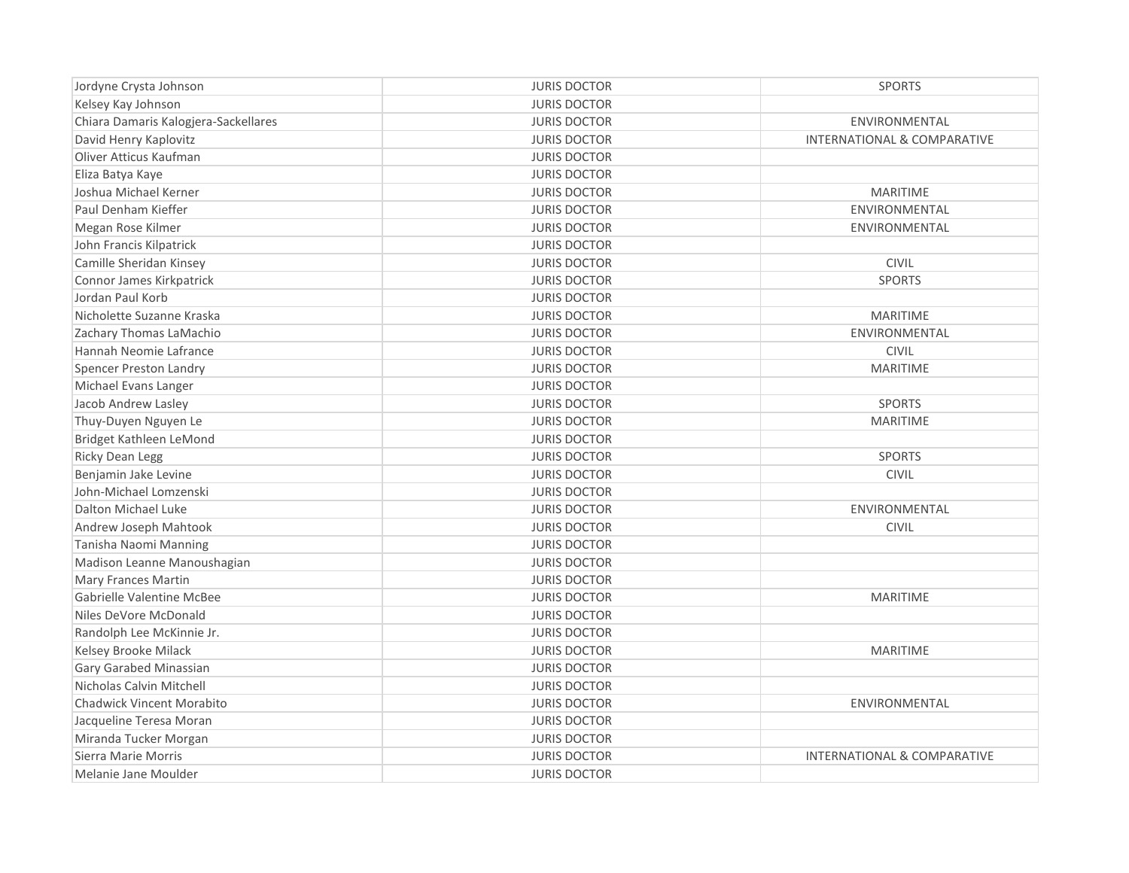| Jordyne Crysta Johnson               | <b>JURIS DOCTOR</b> | <b>SPORTS</b>                          |
|--------------------------------------|---------------------|----------------------------------------|
| Kelsey Kay Johnson                   | <b>JURIS DOCTOR</b> |                                        |
| Chiara Damaris Kalogjera-Sackellares | <b>JURIS DOCTOR</b> | ENVIRONMENTAL                          |
| David Henry Kaplovitz                | <b>JURIS DOCTOR</b> | INTERNATIONAL & COMPARATIVE            |
| Oliver Atticus Kaufman               | <b>JURIS DOCTOR</b> |                                        |
| Eliza Batya Kaye                     | <b>JURIS DOCTOR</b> |                                        |
| Joshua Michael Kerner                | <b>JURIS DOCTOR</b> | <b>MARITIME</b>                        |
| Paul Denham Kieffer                  | <b>JURIS DOCTOR</b> | ENVIRONMENTAL                          |
| Megan Rose Kilmer                    | <b>JURIS DOCTOR</b> | ENVIRONMENTAL                          |
| John Francis Kilpatrick              | <b>JURIS DOCTOR</b> |                                        |
| Camille Sheridan Kinsey              | <b>JURIS DOCTOR</b> | <b>CIVIL</b>                           |
| Connor James Kirkpatrick             | <b>JURIS DOCTOR</b> | <b>SPORTS</b>                          |
| Jordan Paul Korb                     | <b>JURIS DOCTOR</b> |                                        |
| Nicholette Suzanne Kraska            | <b>JURIS DOCTOR</b> | <b>MARITIME</b>                        |
| Zachary Thomas LaMachio              | <b>JURIS DOCTOR</b> | ENVIRONMENTAL                          |
| Hannah Neomie Lafrance               | <b>JURIS DOCTOR</b> | <b>CIVIL</b>                           |
| <b>Spencer Preston Landry</b>        | <b>JURIS DOCTOR</b> | <b>MARITIME</b>                        |
| Michael Evans Langer                 | <b>JURIS DOCTOR</b> |                                        |
| Jacob Andrew Lasley                  | <b>JURIS DOCTOR</b> | <b>SPORTS</b>                          |
| Thuy-Duyen Nguyen Le                 | <b>JURIS DOCTOR</b> | <b>MARITIME</b>                        |
| Bridget Kathleen LeMond              | <b>JURIS DOCTOR</b> |                                        |
| <b>Ricky Dean Legg</b>               | <b>JURIS DOCTOR</b> | <b>SPORTS</b>                          |
| Benjamin Jake Levine                 | <b>JURIS DOCTOR</b> | <b>CIVIL</b>                           |
| John-Michael Lomzenski               | <b>JURIS DOCTOR</b> |                                        |
| Dalton Michael Luke                  | <b>JURIS DOCTOR</b> | ENVIRONMENTAL                          |
| Andrew Joseph Mahtook                | <b>JURIS DOCTOR</b> | <b>CIVIL</b>                           |
| Tanisha Naomi Manning                | <b>JURIS DOCTOR</b> |                                        |
| Madison Leanne Manoushagian          | <b>JURIS DOCTOR</b> |                                        |
| Mary Frances Martin                  | <b>JURIS DOCTOR</b> |                                        |
| <b>Gabrielle Valentine McBee</b>     | <b>JURIS DOCTOR</b> | <b>MARITIME</b>                        |
| Niles DeVore McDonald                | <b>JURIS DOCTOR</b> |                                        |
| Randolph Lee McKinnie Jr.            | <b>JURIS DOCTOR</b> |                                        |
| Kelsey Brooke Milack                 | <b>JURIS DOCTOR</b> | <b>MARITIME</b>                        |
| Gary Garabed Minassian               | <b>JURIS DOCTOR</b> |                                        |
| Nicholas Calvin Mitchell             | <b>JURIS DOCTOR</b> |                                        |
| <b>Chadwick Vincent Morabito</b>     | <b>JURIS DOCTOR</b> | ENVIRONMENTAL                          |
| Jacqueline Teresa Moran              | <b>JURIS DOCTOR</b> |                                        |
| Miranda Tucker Morgan                | <b>JURIS DOCTOR</b> |                                        |
| Sierra Marie Morris                  | <b>JURIS DOCTOR</b> | <b>INTERNATIONAL &amp; COMPARATIVE</b> |
| Melanie Jane Moulder                 | <b>JURIS DOCTOR</b> |                                        |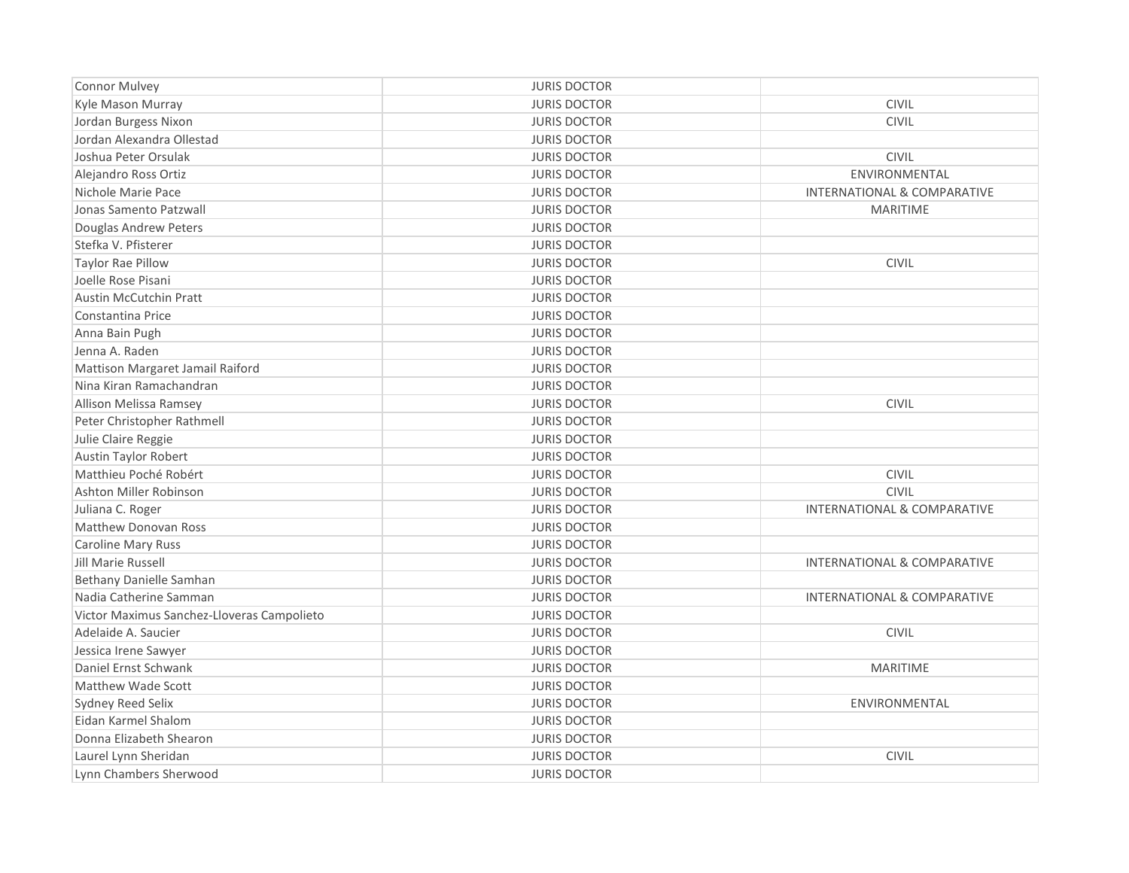| <b>Connor Mulvey</b>                       | <b>JURIS DOCTOR</b> |                             |
|--------------------------------------------|---------------------|-----------------------------|
| Kyle Mason Murray                          | <b>JURIS DOCTOR</b> | CIVIL                       |
| Jordan Burgess Nixon                       | <b>JURIS DOCTOR</b> | <b>CIVIL</b>                |
| Jordan Alexandra Ollestad                  | <b>JURIS DOCTOR</b> |                             |
| Joshua Peter Orsulak                       | <b>JURIS DOCTOR</b> | <b>CIVIL</b>                |
| Alejandro Ross Ortiz                       | <b>JURIS DOCTOR</b> | ENVIRONMENTAL               |
| Nichole Marie Pace                         | <b>JURIS DOCTOR</b> | INTERNATIONAL & COMPARATIVE |
| Jonas Samento Patzwall                     | <b>JURIS DOCTOR</b> | <b>MARITIME</b>             |
| Douglas Andrew Peters                      | <b>JURIS DOCTOR</b> |                             |
| Stefka V. Pfisterer                        | <b>JURIS DOCTOR</b> |                             |
| <b>Taylor Rae Pillow</b>                   | <b>JURIS DOCTOR</b> | <b>CIVIL</b>                |
| Joelle Rose Pisani                         | <b>JURIS DOCTOR</b> |                             |
| <b>Austin McCutchin Pratt</b>              | <b>JURIS DOCTOR</b> |                             |
| Constantina Price                          | <b>JURIS DOCTOR</b> |                             |
| Anna Bain Pugh                             | <b>JURIS DOCTOR</b> |                             |
| Jenna A. Raden                             | <b>JURIS DOCTOR</b> |                             |
| Mattison Margaret Jamail Raiford           | <b>JURIS DOCTOR</b> |                             |
| Nina Kiran Ramachandran                    | <b>JURIS DOCTOR</b> |                             |
| Allison Melissa Ramsey                     | <b>JURIS DOCTOR</b> | CIVIL                       |
| Peter Christopher Rathmell                 | <b>JURIS DOCTOR</b> |                             |
| Julie Claire Reggie                        | <b>JURIS DOCTOR</b> |                             |
| <b>Austin Taylor Robert</b>                | <b>JURIS DOCTOR</b> |                             |
| Matthieu Poché Robért                      | <b>JURIS DOCTOR</b> | <b>CIVIL</b>                |
| Ashton Miller Robinson                     | <b>JURIS DOCTOR</b> | <b>CIVIL</b>                |
| Juliana C. Roger                           | <b>JURIS DOCTOR</b> | INTERNATIONAL & COMPARATIVE |
| <b>Matthew Donovan Ross</b>                | <b>JURIS DOCTOR</b> |                             |
| <b>Caroline Mary Russ</b>                  | <b>JURIS DOCTOR</b> |                             |
| <b>Jill Marie Russell</b>                  | <b>JURIS DOCTOR</b> | INTERNATIONAL & COMPARATIVE |
| Bethany Danielle Samhan                    | <b>JURIS DOCTOR</b> |                             |
| Nadia Catherine Samman                     | <b>JURIS DOCTOR</b> | INTERNATIONAL & COMPARATIVE |
| Victor Maximus Sanchez-Lloveras Campolieto | <b>JURIS DOCTOR</b> |                             |
| Adelaide A. Saucier                        | <b>JURIS DOCTOR</b> | <b>CIVIL</b>                |
| Jessica Irene Sawyer                       | <b>JURIS DOCTOR</b> |                             |
| Daniel Ernst Schwank                       | <b>JURIS DOCTOR</b> | <b>MARITIME</b>             |
| Matthew Wade Scott                         | <b>JURIS DOCTOR</b> |                             |
| Sydney Reed Selix                          | <b>JURIS DOCTOR</b> | ENVIRONMENTAL               |
| Eidan Karmel Shalom                        | <b>JURIS DOCTOR</b> |                             |
| Donna Elizabeth Shearon                    | <b>JURIS DOCTOR</b> |                             |
| Laurel Lynn Sheridan                       | <b>JURIS DOCTOR</b> | <b>CIVIL</b>                |
| Lynn Chambers Sherwood                     | <b>JURIS DOCTOR</b> |                             |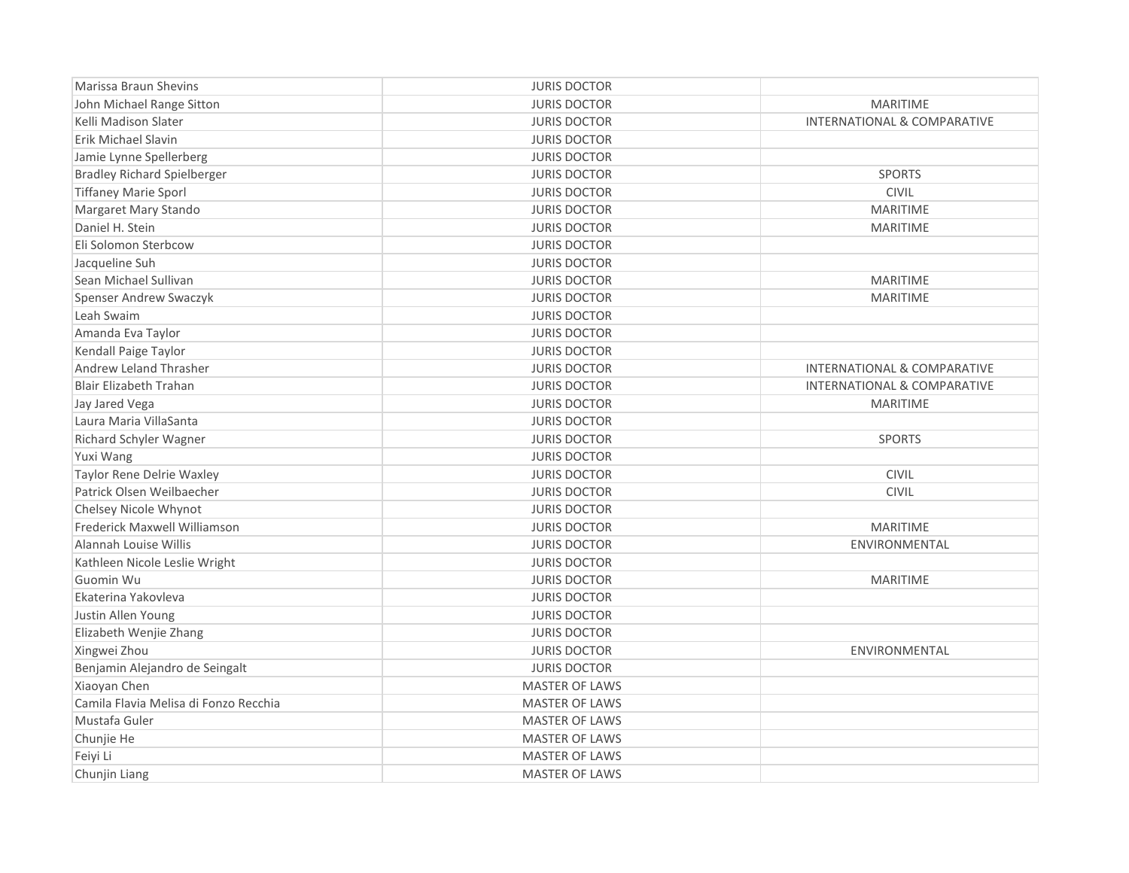| <b>Marissa Braun Shevins</b>          | <b>JURIS DOCTOR</b>   |                             |
|---------------------------------------|-----------------------|-----------------------------|
| John Michael Range Sitton             | <b>JURIS DOCTOR</b>   | <b>MARITIME</b>             |
| Kelli Madison Slater                  | <b>JURIS DOCTOR</b>   | INTERNATIONAL & COMPARATIVE |
| Erik Michael Slavin                   | <b>JURIS DOCTOR</b>   |                             |
| Jamie Lynne Spellerberg               | <b>JURIS DOCTOR</b>   |                             |
| <b>Bradley Richard Spielberger</b>    | <b>JURIS DOCTOR</b>   | <b>SPORTS</b>               |
| <b>Tiffaney Marie Sporl</b>           | <b>JURIS DOCTOR</b>   | <b>CIVIL</b>                |
| Margaret Mary Stando                  | <b>JURIS DOCTOR</b>   | <b>MARITIME</b>             |
| Daniel H. Stein                       | <b>JURIS DOCTOR</b>   | <b>MARITIME</b>             |
| Eli Solomon Sterbcow                  | <b>JURIS DOCTOR</b>   |                             |
| Jacqueline Suh                        | <b>JURIS DOCTOR</b>   |                             |
| Sean Michael Sullivan                 | <b>JURIS DOCTOR</b>   | <b>MARITIME</b>             |
| <b>Spenser Andrew Swaczyk</b>         | <b>JURIS DOCTOR</b>   | <b>MARITIME</b>             |
| Leah Swaim                            | <b>JURIS DOCTOR</b>   |                             |
| Amanda Eva Taylor                     | <b>JURIS DOCTOR</b>   |                             |
| Kendall Paige Taylor                  | <b>JURIS DOCTOR</b>   |                             |
| Andrew Leland Thrasher                | <b>JURIS DOCTOR</b>   | INTERNATIONAL & COMPARATIVE |
| <b>Blair Elizabeth Trahan</b>         | <b>JURIS DOCTOR</b>   | INTERNATIONAL & COMPARATIVE |
| Jay Jared Vega                        | <b>JURIS DOCTOR</b>   | <b>MARITIME</b>             |
| Laura Maria VillaSanta                | <b>JURIS DOCTOR</b>   |                             |
| Richard Schyler Wagner                | <b>JURIS DOCTOR</b>   | <b>SPORTS</b>               |
| Yuxi Wang                             | <b>JURIS DOCTOR</b>   |                             |
| <b>Taylor Rene Delrie Waxley</b>      | <b>JURIS DOCTOR</b>   | <b>CIVIL</b>                |
| Patrick Olsen Weilbaecher             | <b>JURIS DOCTOR</b>   | <b>CIVIL</b>                |
| Chelsey Nicole Whynot                 | <b>JURIS DOCTOR</b>   |                             |
| Frederick Maxwell Williamson          | <b>JURIS DOCTOR</b>   | <b>MARITIME</b>             |
| Alannah Louise Willis                 | <b>JURIS DOCTOR</b>   | ENVIRONMENTAL               |
| Kathleen Nicole Leslie Wright         | <b>JURIS DOCTOR</b>   |                             |
| Guomin Wu                             | <b>JURIS DOCTOR</b>   | <b>MARITIME</b>             |
| Ekaterina Yakovleva                   | <b>JURIS DOCTOR</b>   |                             |
| Justin Allen Young                    | <b>JURIS DOCTOR</b>   |                             |
| Elizabeth Wenjie Zhang                | <b>JURIS DOCTOR</b>   |                             |
| Xingwei Zhou                          | <b>JURIS DOCTOR</b>   | ENVIRONMENTAL               |
| Benjamin Alejandro de Seingalt        | <b>JURIS DOCTOR</b>   |                             |
| Xiaoyan Chen                          | <b>MASTER OF LAWS</b> |                             |
| Camila Flavia Melisa di Fonzo Recchia | <b>MASTER OF LAWS</b> |                             |
| Mustafa Guler                         | <b>MASTER OF LAWS</b> |                             |
| Chunjie He                            | <b>MASTER OF LAWS</b> |                             |
| Feiyi Li                              | <b>MASTER OF LAWS</b> |                             |
| Chunjin Liang                         | <b>MASTER OF LAWS</b> |                             |